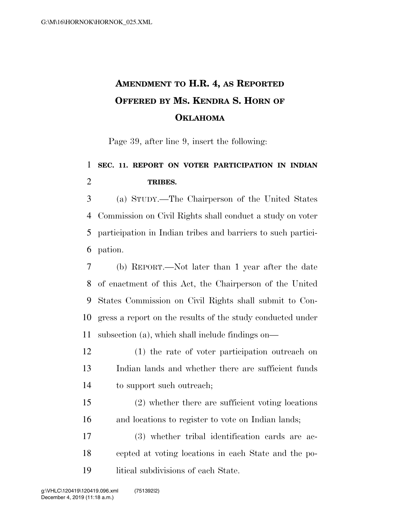## **AMENDMENT TO H.R. 4, AS REPORTED OFFERED BY MS. KENDRA S. HORN OF OKLAHOMA**

Page 39, after line 9, insert the following:

## **SEC. 11. REPORT ON VOTER PARTICIPATION IN INDIAN TRIBES.**

 (a) STUDY.—The Chairperson of the United States Commission on Civil Rights shall conduct a study on voter participation in Indian tribes and barriers to such partici-pation.

 (b) REPORT.—Not later than 1 year after the date of enactment of this Act, the Chairperson of the United States Commission on Civil Rights shall submit to Con- gress a report on the results of the study conducted under subsection (a), which shall include findings on—

 (1) the rate of voter participation outreach on Indian lands and whether there are sufficient funds to support such outreach;

 (2) whether there are sufficient voting locations and locations to register to vote on Indian lands;

 (3) whether tribal identification cards are ac- cepted at voting locations in each State and the po-litical subdivisions of each State.